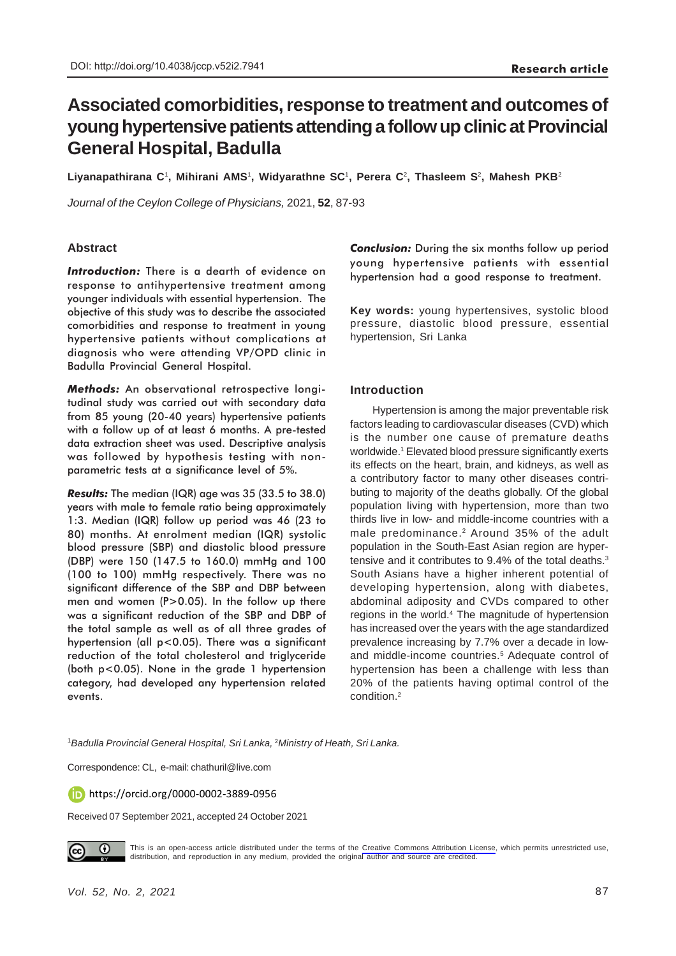# **Associated comorbidities, response to treatment and outcomes of young hypertensive patients attending a follow up clinic at Provincial General Hospital, Badulla**

**Liyanapathirana C**1**, Mihirani AMS**1**, Widyarathne SC**1**, Perera C**2**, Thasleem S**2**, Mahesh PKB**<sup>2</sup>

*Journal of the Ceylon College of Physicians,* 2021, **52**, 87-93

## **Abstract**

*Introduction:* There is a dearth of evidence on response to antihypertensive treatment among younger individuals with essential hypertension. The objective of this study was to describe the associated comorbidities and response to treatment in young hypertensive patients without complications at diagnosis who were attending VP/OPD clinic in Badulla Provincial General Hospital.

*Methods:* An observational retrospective longitudinal study was carried out with secondary data from 85 young (20-40 years) hypertensive patients with a follow up of at least 6 months. A pre-tested data extraction sheet was used. Descriptive analysis was followed by hypothesis testing with nonparametric tests at a significance level of 5%.

*Results:* The median (IQR) age was 35 (33.5 to 38.0) years with male to female ratio being approximately 1:3. Median (IQR) follow up period was 46 (23 to 80) months. At enrolment median (IQR) systolic blood pressure (SBP) and diastolic blood pressure (DBP) were 150 (147.5 to 160.0) mmHg and 100 (100 to 100) mmHg respectively. There was no significant difference of the SBP and DBP between men and women (P>0.05). In the follow up there was a significant reduction of the SBP and DBP of the total sample as well as of all three grades of hypertension (all p<0.05). There was a significant reduction of the total cholesterol and triglyceride (both p<0.05). None in the grade 1 hypertension category, had developed any hypertension related events.

**Conclusion:** During the six months follow up period young hypertensive patients with essential hypertension had a good response to treatment.

**Key words:** young hypertensives, systolic blood pressure, diastolic blood pressure, essential hypertension, Sri Lanka

#### **Introduction**

Hypertension is among the major preventable risk factors leading to cardiovascular diseases (CVD) which is the number one cause of premature deaths worldwide.1 Elevated blood pressure significantly exerts its effects on the heart, brain, and kidneys, as well as a contributory factor to many other diseases contributing to majority of the deaths globally. Of the global population living with hypertension, more than two thirds live in low- and middle-income countries with a male predominance.2 Around 35% of the adult population in the South-East Asian region are hypertensive and it contributes to 9.4% of the total deaths.<sup>3</sup> South Asians have a higher inherent potential of developing hypertension, along with diabetes, abdominal adiposity and CVDs compared to other regions in the world.<sup>4</sup> The magnitude of hypertension has increased over the years with the age standardized prevalence increasing by 7.7% over a decade in lowand middle-income countries.<sup>5</sup> Adequate control of hypertension has been a challenge with less than 20% of the patients having optimal control of the condition.2

<sup>1</sup>*Badulla Provincial General Hospital, Sri Lanka,* <sup>2</sup>*Ministry of Heath, Sri Lanka.*

Correspondence: CL, e-mail: chathuril@live.com

https://orcid.org/0000-0002-3889-0956

Received 07 September 2021, accepted 24 October 2021



This is an open-access article distributed under the terms of the [Creative Commons Attribution License](https://creativecommons.org/licenses/by/4.0/legalcode), which permits unrestricted use, distribution, and reproduction in any medium, provided the original author and source are credited.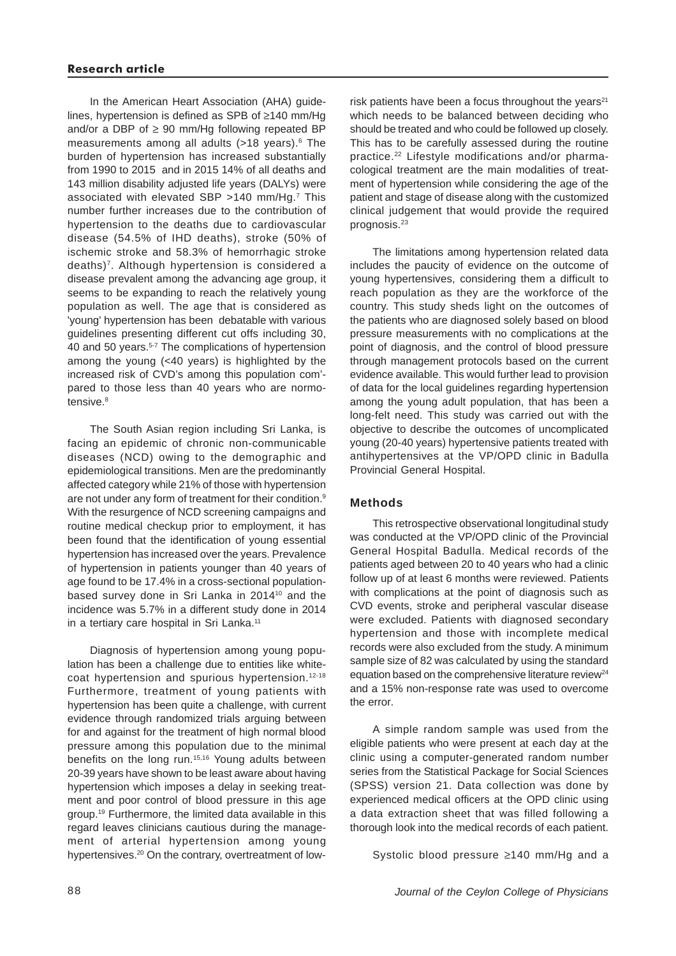In the American Heart Association (AHA) guidelines, hypertension is defined as SPB of ≥140 mm/Hg and/or a DBP of  $\geq$  90 mm/Hg following repeated BP measurements among all adults (>18 years).<sup>6</sup> The burden of hypertension has increased substantially from 1990 to 2015 and in 2015 14% of all deaths and 143 million disability adjusted life years (DALYs) were associated with elevated SBP >140 mm/Hg.7 This number further increases due to the contribution of hypertension to the deaths due to cardiovascular disease (54.5% of IHD deaths), stroke (50% of ischemic stroke and 58.3% of hemorrhagic stroke deaths)<sup>7</sup>. Although hypertension is considered a disease prevalent among the advancing age group, it seems to be expanding to reach the relatively young population as well. The age that is considered as 'young' hypertension has been debatable with various guidelines presenting different cut offs including 30, 40 and 50 years.<sup>5-7</sup> The complications of hypertension among the young (<40 years) is highlighted by the increased risk of CVD's among this population com' pared to those less than 40 years who are normotensive.<sup>8</sup>

The South Asian region including Sri Lanka, is facing an epidemic of chronic non-communicable diseases (NCD) owing to the demographic and epidemiological transitions. Men are the predominantly affected category while 21% of those with hypertension are not under any form of treatment for their condition.<sup>9</sup> With the resurgence of NCD screening campaigns and routine medical checkup prior to employment, it has been found that the identification of young essential hypertension has increased over the years. Prevalence of hypertension in patients younger than 40 years of age found to be 17.4% in a cross-sectional populationbased survey done in Sri Lanka in 2014<sup>10</sup> and the incidence was 5.7% in a different study done in 2014 in a tertiary care hospital in Sri Lanka.<sup>11</sup>

Diagnosis of hypertension among young population has been a challenge due to entities like whitecoat hypertension and spurious hypertension.12-18 Furthermore, treatment of young patients with hypertension has been quite a challenge, with current evidence through randomized trials arguing between for and against for the treatment of high normal blood pressure among this population due to the minimal benefits on the long run.<sup>15,16</sup> Young adults between 20-39 years have shown to be least aware about having hypertension which imposes a delay in seeking treatment and poor control of blood pressure in this age group.19 Furthermore, the limited data available in this regard leaves clinicians cautious during the management of arterial hypertension among young hypertensives.<sup>20</sup> On the contrary, overtreatment of low-

risk patients have been a focus throughout the vears $21$ which needs to be balanced between deciding who should be treated and who could be followed up closely. This has to be carefully assessed during the routine practice.22 Lifestyle modifications and/or pharmacological treatment are the main modalities of treatment of hypertension while considering the age of the patient and stage of disease along with the customized clinical judgement that would provide the required prognosis.23

The limitations among hypertension related data includes the paucity of evidence on the outcome of young hypertensives, considering them a difficult to reach population as they are the workforce of the country. This study sheds light on the outcomes of the patients who are diagnosed solely based on blood pressure measurements with no complications at the point of diagnosis, and the control of blood pressure through management protocols based on the current evidence available. This would further lead to provision of data for the local guidelines regarding hypertension among the young adult population, that has been a long-felt need. This study was carried out with the objective to describe the outcomes of uncomplicated young (20-40 years) hypertensive patients treated with antihypertensives at the VP/OPD clinic in Badulla Provincial General Hospital.

## **Methods**

This retrospective observational longitudinal study was conducted at the VP/OPD clinic of the Provincial General Hospital Badulla. Medical records of the patients aged between 20 to 40 years who had a clinic follow up of at least 6 months were reviewed. Patients with complications at the point of diagnosis such as CVD events, stroke and peripheral vascular disease were excluded. Patients with diagnosed secondary hypertension and those with incomplete medical records were also excluded from the study. A minimum sample size of 82 was calculated by using the standard equation based on the comprehensive literature review<sup>24</sup> and a 15% non-response rate was used to overcome the error.

A simple random sample was used from the eligible patients who were present at each day at the clinic using a computer-generated random number series from the Statistical Package for Social Sciences (SPSS) version 21. Data collection was done by experienced medical officers at the OPD clinic using a data extraction sheet that was filled following a thorough look into the medical records of each patient.

Systolic blood pressure ≥140 mm/Hg and a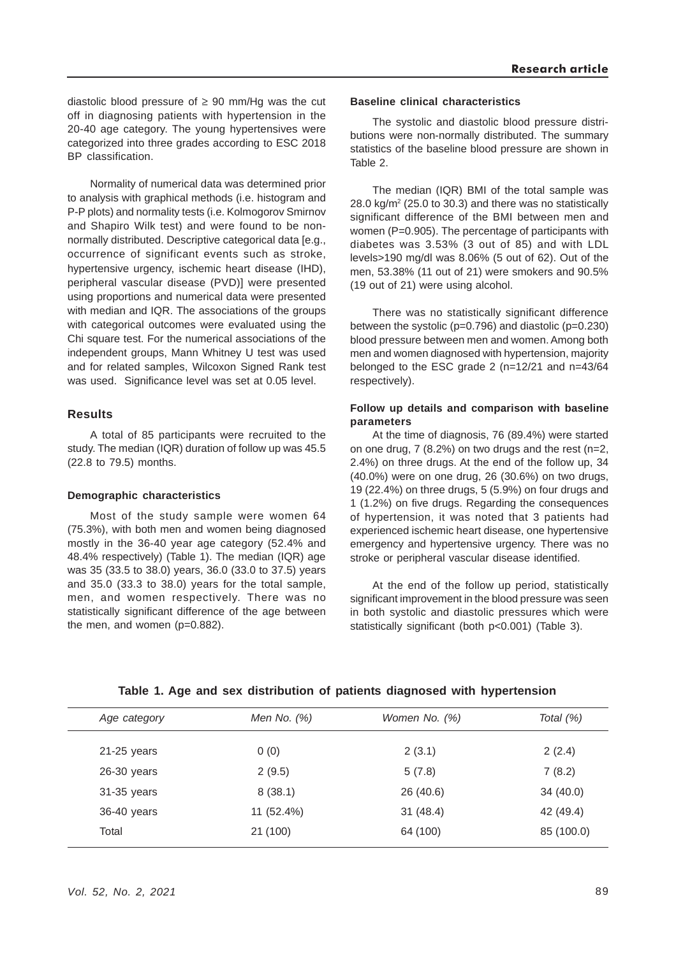diastolic blood pressure of  $\geq 90$  mm/Hg was the cut off in diagnosing patients with hypertension in the 20-40 age category. The young hypertensives were categorized into three grades according to ESC 2018 BP classification.

Normality of numerical data was determined prior to analysis with graphical methods (i.e. histogram and P-P plots) and normality tests (i.e. Kolmogorov Smirnov and Shapiro Wilk test) and were found to be nonnormally distributed. Descriptive categorical data [e.g., occurrence of significant events such as stroke, hypertensive urgency, ischemic heart disease (IHD), peripheral vascular disease (PVD)] were presented using proportions and numerical data were presented with median and IQR. The associations of the groups with categorical outcomes were evaluated using the Chi square test. For the numerical associations of the independent groups, Mann Whitney U test was used and for related samples, Wilcoxon Signed Rank test was used. Significance level was set at 0.05 level.

#### **Results**

A total of 85 participants were recruited to the study. The median (IQR) duration of follow up was 45.5 (22.8 to 79.5) months.

#### **Demographic characteristics**

Most of the study sample were women 64 (75.3%), with both men and women being diagnosed mostly in the 36-40 year age category (52.4% and 48.4% respectively) (Table 1). The median (IQR) age was 35 (33.5 to 38.0) years, 36.0 (33.0 to 37.5) years and 35.0 (33.3 to 38.0) years for the total sample, men, and women respectively. There was no statistically significant difference of the age between the men, and women (p=0.882).

#### **Baseline clinical characteristics**

The systolic and diastolic blood pressure distributions were non-normally distributed. The summary statistics of the baseline blood pressure are shown in Table 2.

The median (IQR) BMI of the total sample was 28.0 kg/m2 (25.0 to 30.3) and there was no statistically significant difference of the BMI between men and women (P=0.905). The percentage of participants with diabetes was 3.53% (3 out of 85) and with LDL levels>190 mg/dl was 8.06% (5 out of 62). Out of the men, 53.38% (11 out of 21) were smokers and 90.5% (19 out of 21) were using alcohol.

There was no statistically significant difference between the systolic (p=0.796) and diastolic (p=0.230) blood pressure between men and women. Among both men and women diagnosed with hypertension, majority belonged to the ESC grade 2 (n=12/21 and n=43/64 respectively).

## **Follow up details and comparison with baseline parameters**

At the time of diagnosis, 76 (89.4%) were started on one drug,  $7(8.2\%)$  on two drugs and the rest (n=2, 2.4%) on three drugs. At the end of the follow up, 34 (40.0%) were on one drug, 26 (30.6%) on two drugs, 19 (22.4%) on three drugs, 5 (5.9%) on four drugs and 1 (1.2%) on five drugs. Regarding the consequences of hypertension, it was noted that 3 patients had experienced ischemic heart disease, one hypertensive emergency and hypertensive urgency. There was no stroke or peripheral vascular disease identified.

At the end of the follow up period, statistically significant improvement in the blood pressure was seen in both systolic and diastolic pressures which were statistically significant (both p<0.001) (Table 3).

| Age category  | Men No. $(%)$ | Women No. (%) | Total (%)  |
|---------------|---------------|---------------|------------|
| $21-25$ years | 0(0)          | 2(3.1)        | 2(2.4)     |
| 26-30 years   | 2(9.5)        | 5(7.8)        | 7(8.2)     |
| 31-35 years   | 8(38.1)       | 26 (40.6)     | 34(40.0)   |
| 36-40 years   | 11 (52.4%)    | 31(48.4)      | 42 (49.4)  |
| Total         | 21 (100)      | 64 (100)      | 85 (100.0) |
|               |               |               |            |

#### **Table 1. Age and sex distribution of patients diagnosed with hypertension**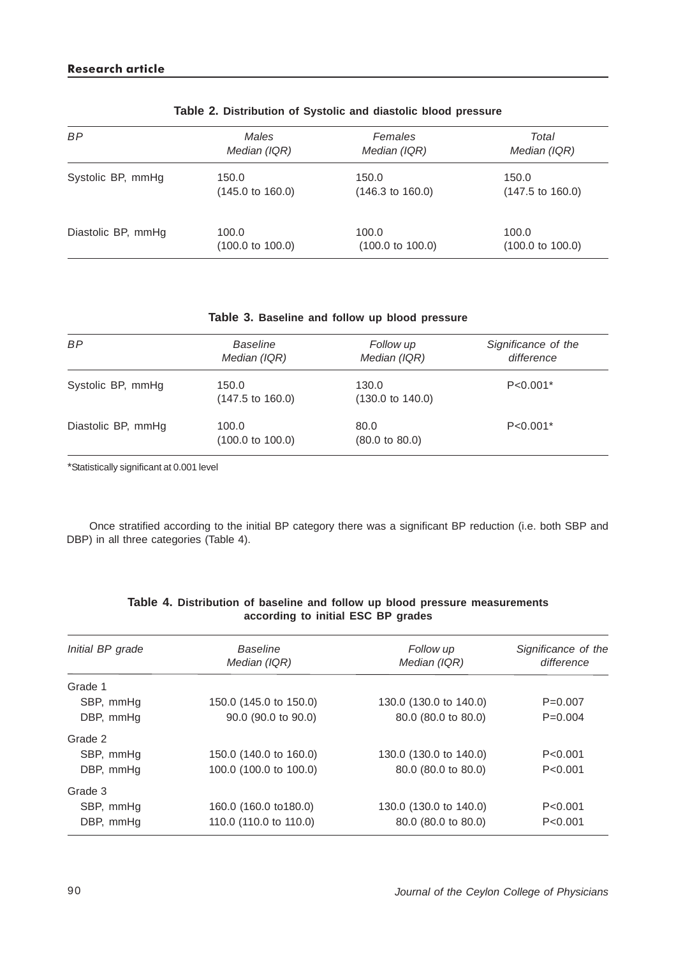| <b>BP</b>          | Males                       | Females                     | Total                       |
|--------------------|-----------------------------|-----------------------------|-----------------------------|
|                    | Median (IQR)                | Median (IQR)                | Median (IQR)                |
| Systolic BP, mmHg  | 150.0                       | 150.0                       | 150.0                       |
|                    | $(145.0 \text{ to } 160.0)$ | $(146.3 \text{ to } 160.0)$ | $(147.5 \text{ to } 160.0)$ |
| Diastolic BP, mmHg | 100.0                       | 100.0                       | 100.0                       |
|                    | $(100.0 \text{ to } 100.0)$ | $(100.0 \text{ to } 100.0)$ | $(100.0 \text{ to } 100.0)$ |

| Table 2. Distribution of Systolic and diastolic blood pressure |  |  |  |  |  |  |
|----------------------------------------------------------------|--|--|--|--|--|--|
|----------------------------------------------------------------|--|--|--|--|--|--|

# **Table 3. Baseline and follow up blood pressure**

| <b>BP</b>          | <b>Baseline</b><br>Median (IQR)      | Follow up<br>Median (IQR)            | Significance of the<br>difference |
|--------------------|--------------------------------------|--------------------------------------|-----------------------------------|
| Systolic BP, mmHg  | 150.0<br>$(147.5 \text{ to } 160.0)$ | 130.0<br>$(130.0 \text{ to } 140.0)$ | $P < 0.001*$                      |
| Diastolic BP, mmHg | 100.0<br>$(100.0 \text{ to } 100.0)$ | 80.0<br>$(80.0 \text{ to } 80.0)$    | $P < 0.001*$                      |

\*Statistically significant at 0.001 level

Once stratified according to the initial BP category there was a significant BP reduction (i.e. both SBP and DBP) in all three categories (Table 4).

| Initial BP grade | Baseline               | Follow up              | Significance of the |
|------------------|------------------------|------------------------|---------------------|
|                  | Median (IQR)           | Median (IQR)           | difference          |
| Grade 1          |                        |                        |                     |
| SBP, mmHg        | 150.0 (145.0 to 150.0) | 130.0 (130.0 to 140.0) | $P=0.007$           |
| DBP, mmHq        | 90.0 (90.0 to 90.0)    | 80.0 (80.0 to 80.0)    | $P=0.004$           |
| Grade 2          |                        |                        |                     |
| SBP, mmHg        | 150.0 (140.0 to 160.0) | 130.0 (130.0 to 140.0) | P < 0.001           |
| DBP, mmHg        | 100.0 (100.0 to 100.0) | 80.0 (80.0 to 80.0)    | P < 0.001           |
| Grade 3          |                        |                        |                     |
| SBP, mmHg        | 160.0 (160.0 to 180.0) | 130.0 (130.0 to 140.0) | P < 0.001           |
| DBP, mmHg        | 110.0 (110.0 to 110.0) | 80.0 (80.0 to 80.0)    | P < 0.001           |

## **Table 4. Distribution of baseline and follow up blood pressure measurements according to initial ESC BP grades**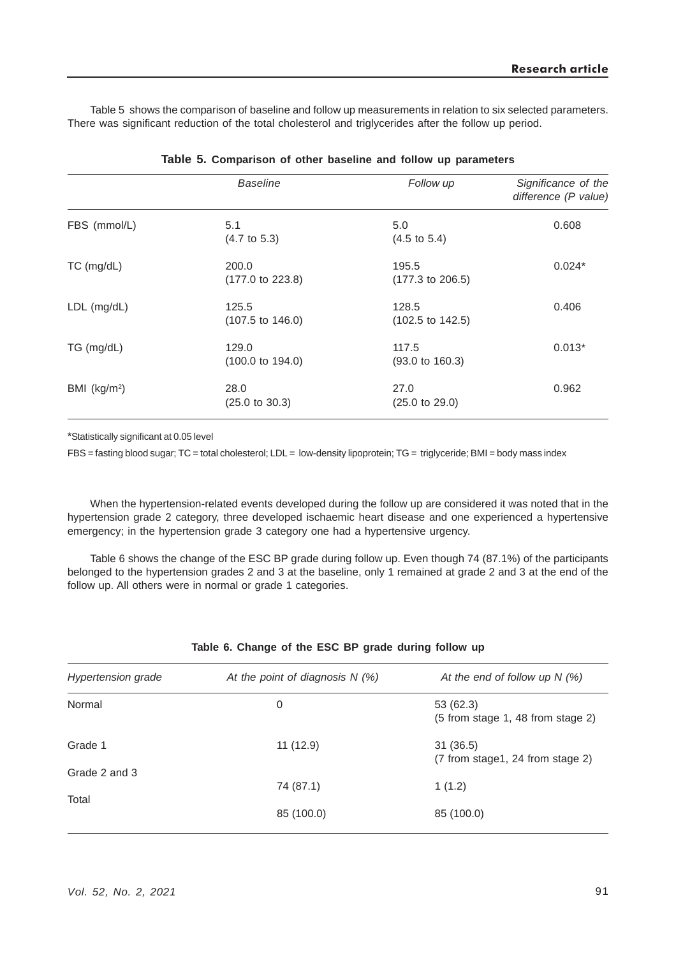Table 5 shows the comparison of baseline and follow up measurements in relation to six selected parameters. There was significant reduction of the total cholesterol and triglycerides after the follow up period.

|                 | <b>Baseline</b>                      | Follow up                            | Significance of the<br>difference (P value) |
|-----------------|--------------------------------------|--------------------------------------|---------------------------------------------|
| FBS (mmol/L)    | 5.1<br>$(4.7 \text{ to } 5.3)$       | 5.0<br>$(4.5 \text{ to } 5.4)$       | 0.608                                       |
| TC (mg/dL)      | 200.0<br>$(177.0 \text{ to } 223.8)$ | 195.5<br>$(177.3 \text{ to } 206.5)$ | $0.024*$                                    |
| LDL (mg/dL)     | 125.5<br>$(107.5 \text{ to } 146.0)$ | 128.5<br>$(102.5 \text{ to } 142.5)$ | 0.406                                       |
| TG (mg/dL)      | 129.0<br>$(100.0 \text{ to } 194.0)$ | 117.5<br>$(93.0 \text{ to } 160.3)$  | $0.013*$                                    |
| BMI ( $kg/m2$ ) | 28.0<br>$(25.0 \text{ to } 30.3)$    | 27.0<br>$(25.0 \text{ to } 29.0)$    | 0.962                                       |

|  |  | Table 5. Comparison of other baseline and follow up parameters |  |  |  |  |  |  |  |
|--|--|----------------------------------------------------------------|--|--|--|--|--|--|--|
|--|--|----------------------------------------------------------------|--|--|--|--|--|--|--|

\*Statistically significant at 0.05 level

FBS = fasting blood sugar; TC = total cholesterol; LDL = low-density lipoprotein; TG = triglyceride; BMI = body mass index

When the hypertension-related events developed during the follow up are considered it was noted that in the hypertension grade 2 category, three developed ischaemic heart disease and one experienced a hypertensive emergency; in the hypertension grade 3 category one had a hypertensive urgency.

Table 6 shows the change of the ESC BP grade during follow up. Even though 74 (87.1%) of the participants belonged to the hypertension grades 2 and 3 at the baseline, only 1 remained at grade 2 and 3 at the end of the follow up. All others were in normal or grade 1 categories.

| <b>Hypertension grade</b> | At the point of diagnosis $N(\%)$ | At the end of follow up $N$ (%)                |  |  |  |
|---------------------------|-----------------------------------|------------------------------------------------|--|--|--|
| Normal                    | 0                                 | 53(62.3)<br>(5 from stage 1, 48 from stage 2)  |  |  |  |
| Grade 1<br>Grade 2 and 3  | 11(12.9)                          | 31(36.5)<br>$(7$ from stage1, 24 from stage 2) |  |  |  |
| Total                     | 74 (87.1)                         | 1(1.2)                                         |  |  |  |
|                           | 85 (100.0)                        | 85 (100.0)                                     |  |  |  |
|                           |                                   |                                                |  |  |  |

#### **Table 6. Change of the ESC BP grade during follow up**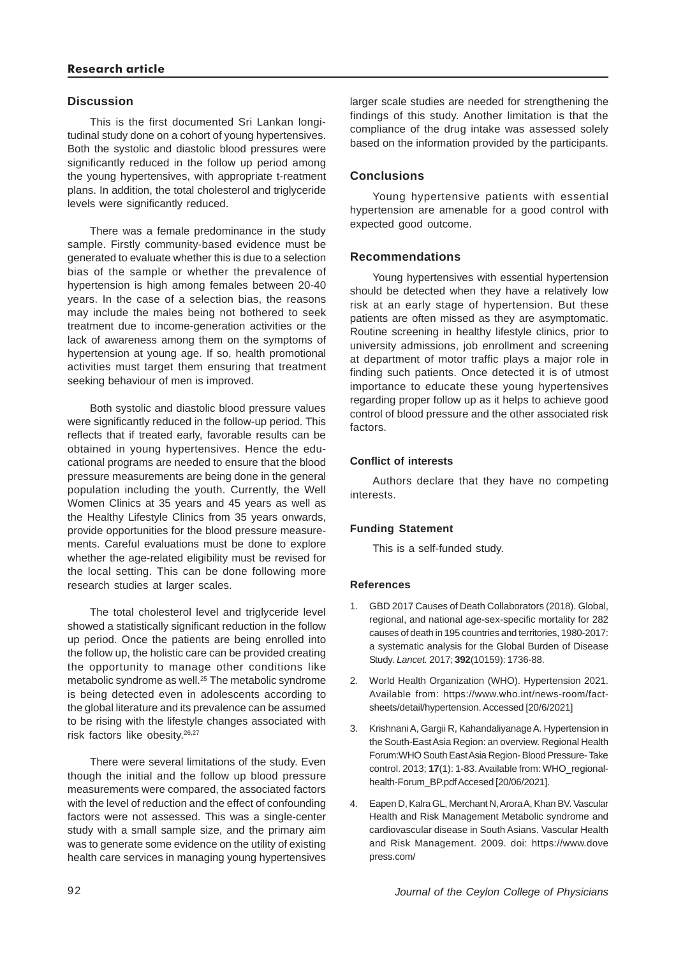# **Discussion**

This is the first documented Sri Lankan longitudinal study done on a cohort of young hypertensives. Both the systolic and diastolic blood pressures were significantly reduced in the follow up period among the young hypertensives, with appropriate t-reatment plans. In addition, the total cholesterol and triglyceride levels were significantly reduced.

There was a female predominance in the study sample. Firstly community-based evidence must be generated to evaluate whether this is due to a selection bias of the sample or whether the prevalence of hypertension is high among females between 20-40 years. In the case of a selection bias, the reasons may include the males being not bothered to seek treatment due to income-generation activities or the lack of awareness among them on the symptoms of hypertension at young age. If so, health promotional activities must target them ensuring that treatment seeking behaviour of men is improved.

Both systolic and diastolic blood pressure values were significantly reduced in the follow-up period. This reflects that if treated early, favorable results can be obtained in young hypertensives. Hence the educational programs are needed to ensure that the blood pressure measurements are being done in the general population including the youth. Currently, the Well Women Clinics at 35 years and 45 years as well as the Healthy Lifestyle Clinics from 35 years onwards, provide opportunities for the blood pressure measurements. Careful evaluations must be done to explore whether the age-related eligibility must be revised for the local setting. This can be done following more research studies at larger scales.

The total cholesterol level and triglyceride level showed a statistically significant reduction in the follow up period. Once the patients are being enrolled into the follow up, the holistic care can be provided creating the opportunity to manage other conditions like metabolic syndrome as well.<sup>25</sup> The metabolic syndrome is being detected even in adolescents according to the global literature and its prevalence can be assumed to be rising with the lifestyle changes associated with risk factors like obesity.<sup>26,27</sup>

There were several limitations of the study. Even though the initial and the follow up blood pressure measurements were compared, the associated factors with the level of reduction and the effect of confounding factors were not assessed. This was a single-center study with a small sample size, and the primary aim was to generate some evidence on the utility of existing health care services in managing young hypertensives

larger scale studies are needed for strengthening the findings of this study. Another limitation is that the compliance of the drug intake was assessed solely based on the information provided by the participants.

# **Conclusions**

Young hypertensive patients with essential hypertension are amenable for a good control with expected good outcome.

# **Recommendations**

Young hypertensives with essential hypertension should be detected when they have a relatively low risk at an early stage of hypertension. But these patients are often missed as they are asymptomatic. Routine screening in healthy lifestyle clinics, prior to university admissions, job enrollment and screening at department of motor traffic plays a major role in finding such patients. Once detected it is of utmost importance to educate these young hypertensives regarding proper follow up as it helps to achieve good control of blood pressure and the other associated risk factors.

# **Conflict of interests**

Authors declare that they have no competing interests.

# **Funding Statement**

This is a self-funded study.

## **References**

- 1. GBD 2017 Causes of Death Collaborators (2018). Global, regional, and national age-sex-specific mortality for 282 causes of death in 195 countries and territories, 1980-2017: a systematic analysis for the Global Burden of Disease Study. *Lancet.* 2017; **392**(10159): 1736-88.
- 2. World Health Organization (WHO). Hypertension 2021. Available from: https://www.who.int/news-room/factsheets/detail/hypertension. Accessed [20/6/2021]
- 3. Krishnani A, Gargii R, Kahandaliyanage A. Hypertension in the South-East Asia Region: an overview. Regional Health Forum:WHO South East Asia Region- Blood Pressure- Take control. 2013; **17**(1): 1-83. Available from: WHO\_regionalhealth-Forum\_BP.pdf Accesed [20/06/2021].
- 4. Eapen D, Kalra GL, Merchant N, Arora A, Khan BV. Vascular Health and Risk Management Metabolic syndrome and cardiovascular disease in South Asians. Vascular Health and Risk Management. 2009. doi: https://www.dove press.com/